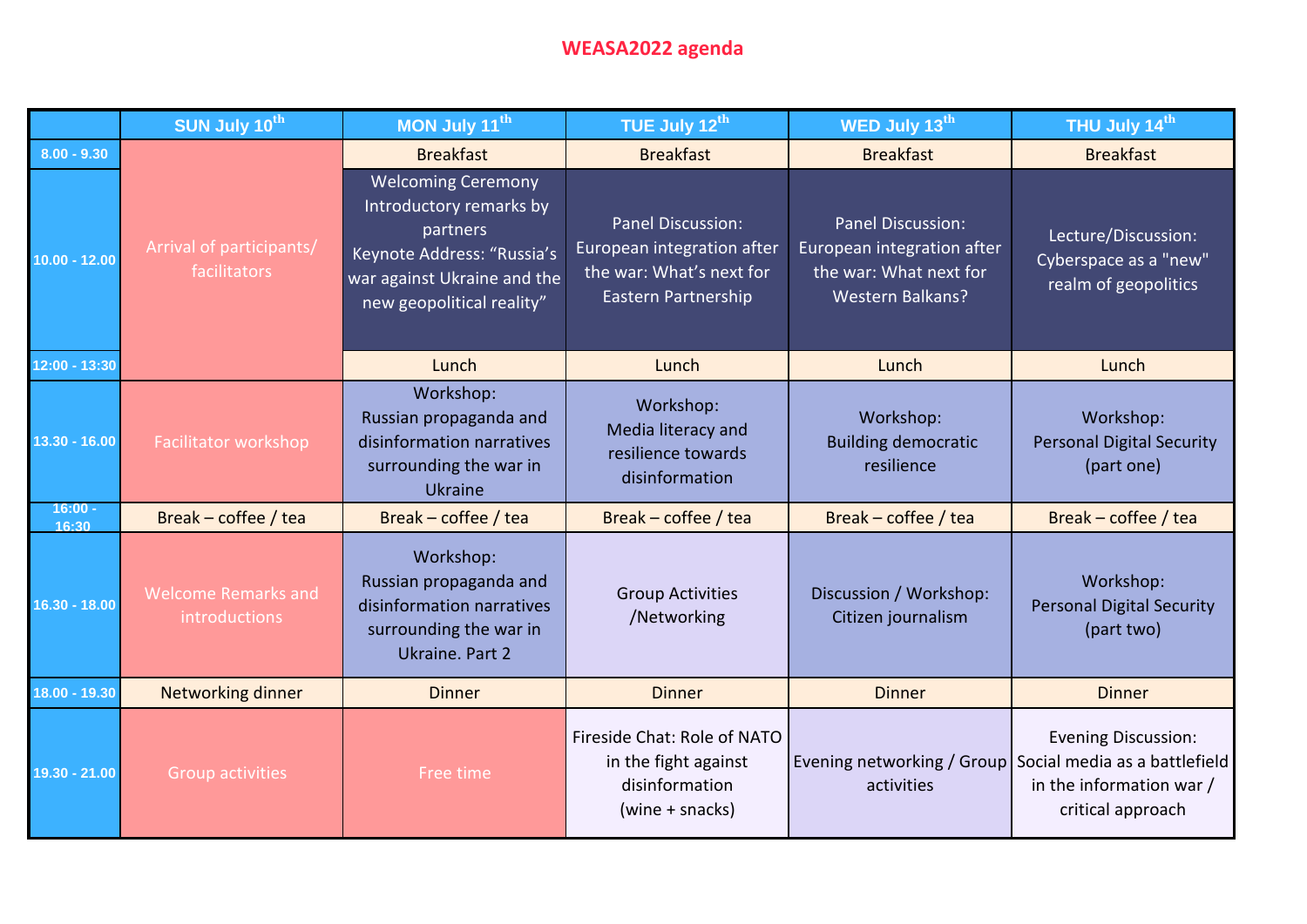## **WEASA2022 agenda**

|                    | SUN July 10th                               | MON July 11th                                                                                                                                              | TUE July 12th                                                                                      | WED July 13th                                                                                        | THU July 14th                                                               |
|--------------------|---------------------------------------------|------------------------------------------------------------------------------------------------------------------------------------------------------------|----------------------------------------------------------------------------------------------------|------------------------------------------------------------------------------------------------------|-----------------------------------------------------------------------------|
| $8.00 - 9.30$      |                                             | <b>Breakfast</b>                                                                                                                                           | <b>Breakfast</b>                                                                                   | <b>Breakfast</b>                                                                                     | <b>Breakfast</b>                                                            |
| $10.00 - 12.00$    | Arrival of participants/<br>facilitators    | <b>Welcoming Ceremony</b><br>Introductory remarks by<br>partners<br>Keynote Address: "Russia's<br>war against Ukraine and the<br>new geopolitical reality" | Panel Discussion:<br>European integration after<br>the war: What's next for<br>Eastern Partnership | Panel Discussion:<br>European integration after<br>the war: What next for<br><b>Western Balkans?</b> | Lecture/Discussion:<br>Cyberspace as a "new"<br>realm of geopolitics        |
| 12:00 - 13:30      |                                             | Lunch                                                                                                                                                      | Lunch                                                                                              | Lunch                                                                                                | Lunch                                                                       |
| 13.30 - 16.00      | Facilitator workshop                        | Workshop:<br>Russian propaganda and<br>disinformation narratives<br>surrounding the war in<br><b>Ukraine</b>                                               | Workshop:<br>Media literacy and<br>resilience towards<br>disinformation                            | Workshop:<br><b>Building democratic</b><br>resilience                                                | Workshop:<br><b>Personal Digital Security</b><br>(part one)                 |
| $16:00 -$<br>16:30 | Break - coffee / tea                        | Break – coffee / tea                                                                                                                                       | Break - coffee / tea                                                                               | Break - coffee / tea                                                                                 | Break - coffee / tea                                                        |
| $16.30 - 18.00$    | <b>Welcome Remarks and</b><br>introductions | Workshop:<br>Russian propaganda and<br>disinformation narratives<br>surrounding the war in<br>Ukraine. Part 2                                              | <b>Group Activities</b><br>/Networking                                                             | Discussion / Workshop:<br>Citizen journalism                                                         | Workshop:<br><b>Personal Digital Security</b><br>(part two)                 |
| 18.00 - 19.30      | <b>Networking dinner</b>                    | <b>Dinner</b>                                                                                                                                              | <b>Dinner</b>                                                                                      | <b>Dinner</b>                                                                                        | <b>Dinner</b>                                                               |
| 19.30 - 21.00      | <b>Group activities</b>                     | Free time                                                                                                                                                  | Fireside Chat: Role of NATO<br>in the fight against<br>disinformation<br>(wine + snacks)           | Evening networking / Group   Social media as a battlefield<br>activities                             | <b>Evening Discussion:</b><br>in the information war /<br>critical approach |